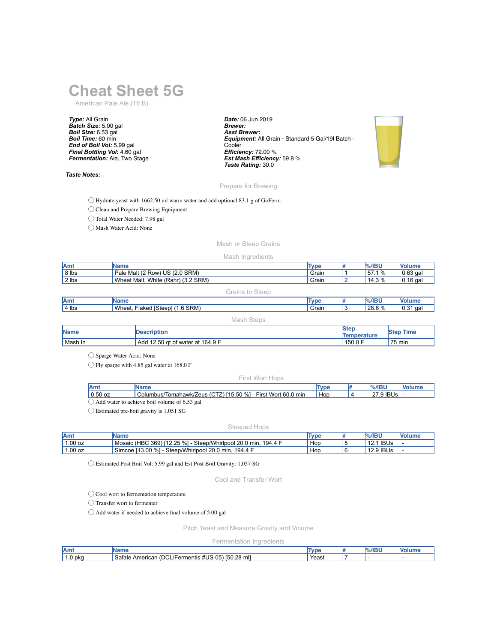# **Cheat Sheet 5G**

American Pale Ale (18 B)

*Type:* All Grain *Batch Size:* 5.00 gal *Boil Size:* 6.53 gal *Boil Time:* 60 min *End of Boil Vol:* 5.99 gal *Final Bottling Vol:* 4.60 gal *Fermentation:* Ale, Two Stage

#### *Taste Notes:*

*Date:* 06 Jun 2019 *Brewer: Asst Brewer: Equipment:* All Grain - Standard 5 Gal/19l Batch - **Cooler** *Efficiency:* 72.00 % *Est Mash Efficiency:* 59.8 % *Taste Rating:* 30.0



## Prepare for Brewing

◯ Hydrate yeast with 1662.50 ml warm water and add optional 83.1 g of GoFerm

◯ Clean and Prepare Brewing Equipment

◯ Total Water Needed: 7.98 gal

◯ Mash Water Acid: None

# Mash or Steep Grains

### Mash Ingredients

| <b>JAmy</b> | <b>IName</b>                                        | Type  | $%$ /IBU                       | <b>Volume</b> |
|-------------|-----------------------------------------------------|-------|--------------------------------|---------------|
| 8 lbs       | /) US (2.0 SRM)<br>Malt (2 Row)<br>Pale             | Grain | $\%$<br>$^{\circ}$ 57. $\cdot$ | 0.63<br>aal   |
| $ 2 $ lbs   | $(3.2$ SRM<br>Wheat Malt.<br>White<br>(Rahr)<br>ے.ت | Grain | 14.3 %                         | 10.16<br>aal  |

| <b>Grains to Steep</b> |  |  |  |
|------------------------|--|--|--|
|                        |  |  |  |
|                        |  |  |  |
|                        |  |  |  |

| lAm   |                                         |       | <b><i>COMMENT</i></b> |              |
|-------|-----------------------------------------|-------|-----------------------|--------------|
| 4 lbs | Wheat.<br><b>SRM</b><br>Hake.<br>…steer | Grain | ററ<br>$-$             | aal<br>. u.s |
|       |                                         |       |                       |              |

Mash Steps

| <b>Name</b> | <b>Description</b>                       | Ster<br>Temperature | Time<br><b>Step</b> |
|-------------|------------------------------------------|---------------------|---------------------|
| l Mash In   | ) at of water at 164.9 F<br>12.50<br>Add | 150.0 F             | 75 min              |

◯ Sparge Water Acid: None

◯ Fly sparge with 4.85 gal water at 168.0 F

#### First Wort Hops

|           |                                                              | <b>VDE</b> | $%$ /IBU  | <b>Nolume</b> |
|-----------|--------------------------------------------------------------|------------|-----------|---------------|
| $0.50$ oz | Columbus/Tomahawk/Zeus (CTZ) [15.50 %] - First Wort 60.0 min | Hop        | 27.9 IBUs |               |
|           | Add water to achieve boil volume of 6.53 gal                 |            |           |               |

◯ Estimated pre-boil gravity is 1.051 SG

#### Steeped Hops

| <b>JAmy</b> | IName                                                                | Type | $%$ /IBU  | <b>Nolume</b> |
|-------------|----------------------------------------------------------------------|------|-----------|---------------|
| 1.00 oz     | Mosaic (HBC 369) [12.25 %] -<br>Steep/Whirlpool 20.0 min.<br>194.4 F | Hop  | 12.1 IBUs |               |
| $1.00$ oz   | Simcoe [13.00 %]<br>Steep/Whirlpool 20.0 min,<br>194.4 F             | Hop  | 12.9 IBUs |               |

◯ Estimated Post Boil Vol: 5.99 gal and Est Post Boil Gravity: 1.057 SG

Cool and Transfer Wort

# ◯ Cool wort to fermentation temperature

◯ Transfer wort to fermenter

◯ Add water if needed to achieve final volume of 5.00 gal

Pitch Yeast and Measure Gravity and Volume

Fermentation Ingredients

| Amt   |                                                                                                |       |  | w |
|-------|------------------------------------------------------------------------------------------------|-------|--|---|
| O pka | [50.28 ml]<br>: #US-05<br>'DCI<br>Satale<br>hericar<br>$I$ – $\alpha$ rm<br>nentis<br>AI<br>нı | Yeast |  |   |